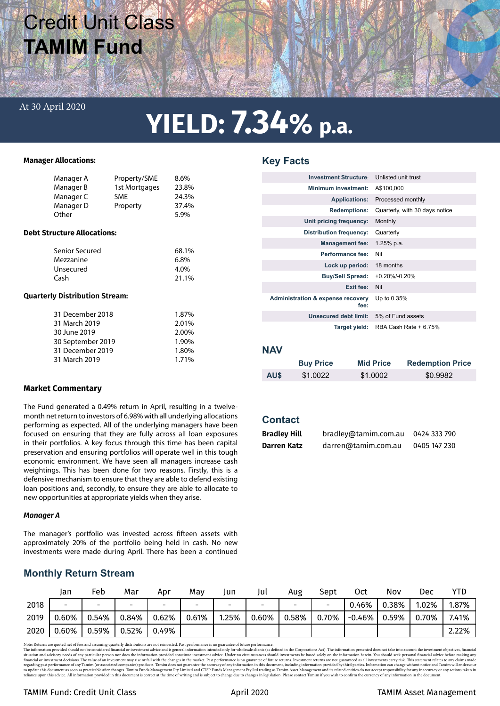# Credit Unit Class **TAMIM Fund**

### At 30 April 2020

# **YIELD: 7.34% p.a.**

**Key Facts**

#### **Manager Allocations:**

|                                       | Manager A<br>Manager B<br>Manager C<br>Manager D<br>Other                                                   | Property/SME<br>1st Mortgages<br>SME<br>Property | 8.6%<br>23.8%<br>24.3%<br>37.4%<br>5.9%            |  |  |  |  |
|---------------------------------------|-------------------------------------------------------------------------------------------------------------|--------------------------------------------------|----------------------------------------------------|--|--|--|--|
| <b>Debt Structure Allocations:</b>    |                                                                                                             |                                                  |                                                    |  |  |  |  |
|                                       | Senior Secured<br>Mezzanine<br>Unsecured<br>Cash                                                            |                                                  | 68.1%<br>6.8%<br>4.0%<br>21.1%                     |  |  |  |  |
| <b>Quarterly Distribution Stream:</b> |                                                                                                             |                                                  |                                                    |  |  |  |  |
|                                       | 31 December 2018<br>31 March 2019<br>30 June 2019<br>30 September 2019<br>31 December 2019<br>31 March 2019 |                                                  | 1.87%<br>2.01%<br>2.00%<br>1.90%<br>1.80%<br>1.71% |  |  |  |  |

#### **Market Commentary**

The Fund generated a 0.49% return in April, resulting in a twelvemonth net return to investors of 6.98% with all underlying allocations performing as expected. All of the underlying managers have been focused on ensuring that they are fully across all loan exposures in their portfolios. A key focus through this time has been capital preservation and ensuring portfolios will operate well in this tough economic environment. We have seen all managers increase cash weightings. This has been done for two reasons. Firstly, this is a defensive mechanism to ensure that they are able to defend existing loan positions and, secondly, to ensure they are able to allocate to new opportunities at appropriate yields when they arise.

#### *Manager A*

The manager's portfolio was invested across fifteen assets with approximately 20% of the portfolio being held in cash. No new investments were made during April. There has been a continued

## **Monthly Return Stream**

|      | Jan                      | Feb   | Mar                      | Apr                      | Mav                      | Jun   | Jul                      | Aug   | Sept  | 0ct       | Nov   | Dec   | YTD   |
|------|--------------------------|-------|--------------------------|--------------------------|--------------------------|-------|--------------------------|-------|-------|-----------|-------|-------|-------|
| 2018 | $\overline{\phantom{0}}$ | -     | $\overline{\phantom{0}}$ | $\overline{\phantom{0}}$ | $\overline{\phantom{0}}$ |       | $\overline{\phantom{0}}$ |       | -     | 0.46%     | 0.38% | 1.02% | 1.87% |
| 2019 | $0.60\%$                 | 0.54% | 0.84%                    | 0.62%                    | 0.61%                    | 1.25% | 0.60%                    | 0.58% | 0.70% | $-0.46\%$ | 0.59% | 0.70% | 7.41% |
| 2020 | 0.60%                    | 0.59% | 0.52%                    | 0.49%                    |                          |       |                          |       |       |           |       |       | 2.22% |

Note: Returns are quoted net of res and assuming quarterly distributions are not reinvested. Past performance is no guarante of future performance, in the distribution are advisory needs on to the investment objectives, fi

| <b>Investment Structure:</b>                         | Unlisted unit trust            |
|------------------------------------------------------|--------------------------------|
| <b>Minimum investment:</b>                           | A\$100,000                     |
| <b>Applications:</b>                                 | Processed monthly              |
| <b>Redemptions:</b>                                  | Quarterly, with 30 days notice |
| Unit pricing frequency:                              | Monthly                        |
| Distribution frequency:                              | Quarterly                      |
| <b>Management fee:</b>                               | $1.25%$ p.a.                   |
| Performance fee:                                     | Nil                            |
| Lock up period:                                      | 18 months                      |
| <b>Buy/Sell Spread:</b>                              | $+0.20\%$ /-0.20%              |
| Exit fee:                                            | Nil                            |
| <b>Administration &amp; expense recovery</b><br>fee: | Up to 0.35%                    |
| Unsecured debt limit:                                | 5% of Fund assets              |
| Target yield:                                        | RBA Cash Rate + 6.75%          |

### **NAV**

|      | <b>Buy Price</b> | <b>Mid Price</b> | <b>Redemption Price</b> |
|------|------------------|------------------|-------------------------|
| AU\$ | \$1.0022         | \$1,0002         | \$0.9982                |

## **Contact**

| <b>Bradley Hill</b> | bradley@tamim.com.au | 0424 333 790 |
|---------------------|----------------------|--------------|
| Darren Katz         | darren@tamim.com.au  | 0405 147 230 |